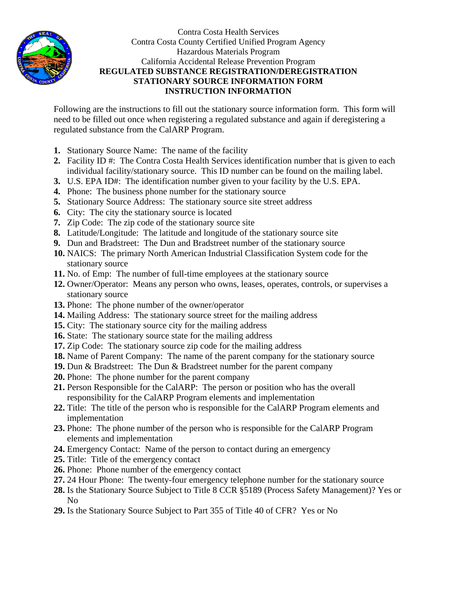

Contra Costa Health Services Contra Costa County Certified Unified Program Agency Hazardous Materials Program California Accidental Release Prevention Program **REGULATED SUBSTANCE REGISTRATION/DEREGISTRATION STATIONARY SOURCE INFORMATION FORM INSTRUCTION INFORMATION** 

Following are the instructions to fill out the stationary source information form. This form will need to be filled out once when registering a regulated substance and again if deregistering a regulated substance from the CalARP Program.

- **1.** Stationary Source Name: The name of the facility
- **2.** Facility ID #: The Contra Costa Health Services identification number that is given to each individual facility/stationary source. This ID number can be found on the mailing label.
- **3.** U.S. EPA ID#: The identification number given to your facility by the U.S. EPA.
- **4.** Phone: The business phone number for the stationary source
- **5.** Stationary Source Address: The stationary source site street address
- **6.** City: The city the stationary source is located
- **7.** Zip Code: The zip code of the stationary source site
- **8.** Latitude/Longitude: The latitude and longitude of the stationary source site
- **9.** Dun and Bradstreet: The Dun and Bradstreet number of the stationary source
- **10.** NAICS: The primary North American Industrial Classification System code for the stationary source
- **11.** No. of Emp: The number of full-time employees at the stationary source
- **12.** Owner/Operator: Means any person who owns, leases, operates, controls, or supervises a stationary source
- **13.** Phone: The phone number of the owner/operator
- **14.** Mailing Address: The stationary source street for the mailing address
- **15.** City: The stationary source city for the mailing address
- 16. State: The stationary source state for the mailing address
- **17.** Zip Code: The stationary source zip code for the mailing address
- **18.** Name of Parent Company: The name of the parent company for the stationary source
- **19.** Dun & Bradstreet: The Dun & Bradstreet number for the parent company
- **20.** Phone: The phone number for the parent company
- **21.** Person Responsible for the CalARP: The person or position who has the overall responsibility for the CalARP Program elements and implementation
- **22.** Title: The title of the person who is responsible for the CalARP Program elements and implementation
- **23.** Phone: The phone number of the person who is responsible for the CalARP Program elements and implementation
- **24.** Emergency Contact: Name of the person to contact during an emergency
- **25.** Title: Title of the emergency contact
- **26.** Phone: Phone number of the emergency contact
- **27.** 24 Hour Phone: The twenty-four emergency telephone number for the stationary source
- **28.** Is the Stationary Source Subject to Title 8 CCR §5189 (Process Safety Management)? Yes or No
- **29.** Is the Stationary Source Subject to Part 355 of Title 40 of CFR? Yes or No